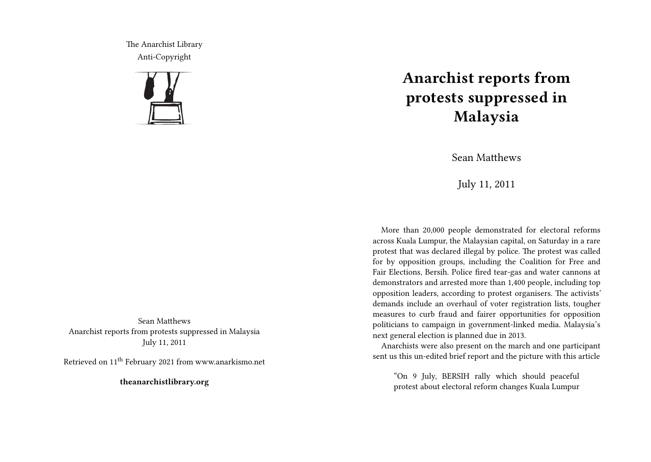The Anarchist Library Anti-Copyright



Sean Matthews Anarchist reports from protests suppressed in Malaysia July 11, 2011

Retrieved on 11<sup>th</sup> February 2021 from www.anarkismo.net

**theanarchistlibrary.org**

## **Anarchist reports from protests suppressed in Malaysia**

Sean Matthews

July 11, 2011

More than 20,000 people demonstrated for electoral reforms across Kuala Lumpur, the Malaysian capital, on Saturday in a rare protest that was declared illegal by police. The protest was called for by opposition groups, including the Coalition for Free and Fair Elections, Bersih. Police fired tear-gas and water cannons at demonstrators and arrested more than 1,400 people, including top opposition leaders, according to protest organisers. The activists' demands include an overhaul of voter registration lists, tougher measures to curb fraud and fairer opportunities for opposition politicians to campaign in government-linked media. Malaysia's next general election is planned due in 2013.

Anarchists were also present on the march and one participant sent us this un-edited brief report and the picture with this article

"On 9 July, BERSIH rally which should peaceful protest about electoral reform changes Kuala Lumpur